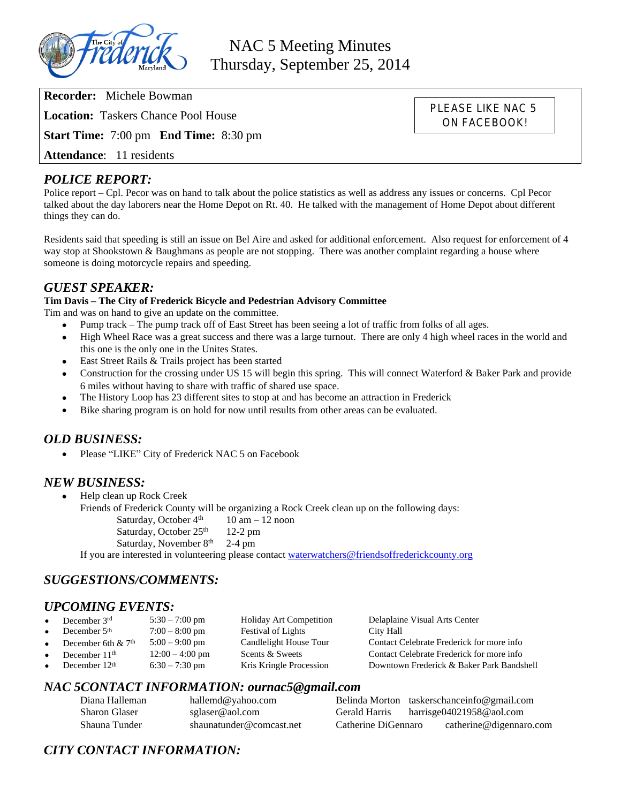

NAC 5 Meeting Minutes Thursday, September 25, 2014

**Recorder:** Michele Bowman

**Location:** Taskers Chance Pool House

**Start Time:** 7:00 pm **End Time:** 8:30 pm

**Attendance**: 11 residents

#### *POLICE REPORT:*

Police report – Cpl. Pecor was on hand to talk about the police statistics as well as address any issues or concerns. Cpl Pecor talked about the day laborers near the Home Depot on Rt. 40. He talked with the management of Home Depot about different things they can do.

Residents said that speeding is still an issue on Bel Aire and asked for additional enforcement. Also request for enforcement of 4 way stop at Shookstown & Baughmans as people are not stopping. There was another complaint regarding a house where someone is doing motorcycle repairs and speeding.

#### *GUEST SPEAKER:*

#### **Tim Davis – The City of Frederick Bicycle and Pedestrian Advisory Committee**

Tim and was on hand to give an update on the committee.

- Pump track The pump track off of East Street has been seeing a lot of traffic from folks of all ages.
- High Wheel Race was a great success and there was a large turnout. There are only 4 high wheel races in the world and this one is the only one in the Unites States.
- East Street Rails & Trails project has been started
- Construction for the crossing under US 15 will begin this spring. This will connect Waterford & Baker Park and provide 6 miles without having to share with traffic of shared use space.
- The History Loop has 23 different sites to stop at and has become an attraction in Frederick
- Bike sharing program is on hold for now until results from other areas can be evaluated.

## *OLD BUSINESS:*

• Please "LIKE" City of Frederick NAC 5 on Facebook

#### *NEW BUSINESS:*

Help clean up Rock Creek

Friends of Frederick County will be organizing a Rock Creek clean up on the following days:

Saturday, October  $4^{th}$  10 am – 12 noon<br>Saturday, October  $25^{th}$  12-2 pm Saturday, October 25<sup>th</sup> Saturday, November  $8<sup>th</sup>$  2-4 pm

If you are interested in volunteering please contact [waterwatchers@friendsoffrederickcounty.org](mailto:waterwatchers@friendsoffrederickcounty.org)

## *SUGGESTIONS/COMMENTS:*

## *UPCOMING EVENTS:*

| $\bullet$ | December 3rd         | $5:30 - 7:00$ pm  | <b>Holiday Art Competition</b> | Delaplaine Visual Arts Center             |
|-----------|----------------------|-------------------|--------------------------------|-------------------------------------------|
| $\bullet$ | December 5th         | $7:00 - 8:00$ pm  | <b>Festival of Lights</b>      | City Hall                                 |
| $\bullet$ | December 6th $& 7th$ | $5:00 - 9:00$ pm  | Candlelight House Tour         | Contact Celebrate Frederick for more info |
| $\bullet$ | December $11th$      | $12:00 - 4:00$ pm | Scents & Sweets                | Contact Celebrate Frederick for more info |
|           | December $12th$      | $6:30 - 7:30$ pm  | Kris Kringle Procession        | Downtown Frederick & Baker Park Bandshell |
|           |                      |                   |                                |                                           |

#### *NAC 5CONTACT INFORMATION: ournac5@gmail.com*

| Diana Halleman | hallemd@yahoo.com        |                     | Belinda Morton taskerschanceinfo@gmail.com |
|----------------|--------------------------|---------------------|--------------------------------------------|
| Sharon Glaser  | sglaser@aol.com          | Gerald Harris       | harrisge04021958@aol.com                   |
| Shauna Tunder  | shaunatunder@comcast.net | Catherine DiGennaro | catherine@digennaro.com                    |

# *CITY CONTACT INFORMATION:*

PLEASE LIKE NAC 5 ON FACEBOOK!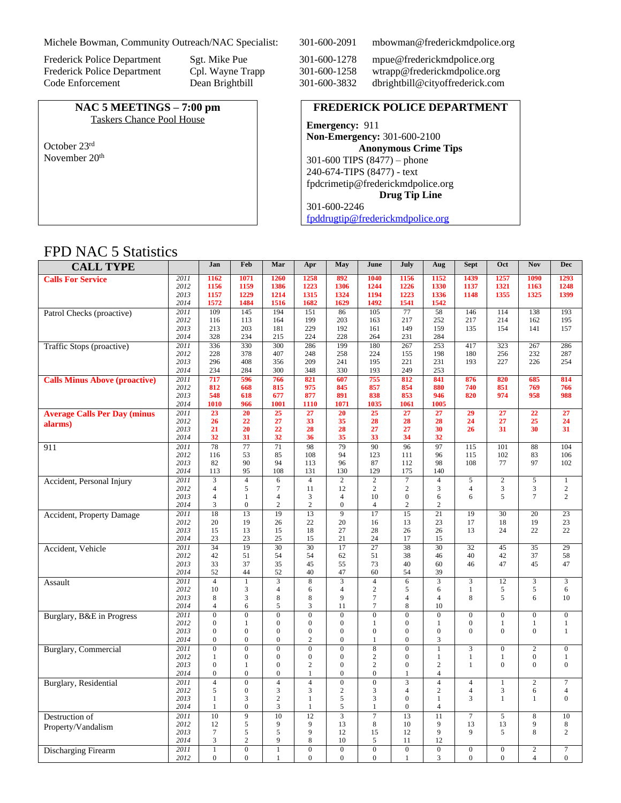Michele Bowman, Community Outreach/NAC Specialist: 301-600-2091 mbowman@frederickmdpolice.org

**NAC 5 MEETINGS – 7:00 pm** Taskers Chance Pool House

October 23rd November 20th

Frederick Police Department Sgt. Mike Pue 301-600-1278 mpue@frederickmdpolice.org<br>Frederick Police Department Cpl. Wayne Trapp 301-600-1258 wtrapp@frederickmdpolice.org Cpl. Wayne Trapp 301-600-1258 wtrapp@frederickmdpolice.org<br>Dean Brightbill 301-600-3832 dbrightbill@cityoffrederick.com Code Enforcement Dean Brightbill 301-600-3832 dbrightbill@cityoffrederick.com

#### **FREDERICK POLICE DEPARTMENT**

**Emergency:** 911 **Non-Emergency:** 301-600-2100 **Anonymous Crime Tips** 301-600 TIPS (8477) – phone 240-674-TIPS (8477) - text [fpdcrimetip@frederickmdpolice.org](mailto:fpdcrimetip@frederickmdpolice.org) **Drug Tip Line** 301-600-2246 [fpddrugtip@frederickmdpolice.org](mailto:fpddrugtip@frederickmdpolice.org)

## FPD NAC 5 Statistics

| <b>CALL TYPE</b>                     |              | Jan                                | Feb                              | Mar                          | Apr                                  | May                      | June                     | July                     | Aug                              | <b>Sept</b>                  | Oct                      | <b>Nov</b>               | <b>Dec</b>            |
|--------------------------------------|--------------|------------------------------------|----------------------------------|------------------------------|--------------------------------------|--------------------------|--------------------------|--------------------------|----------------------------------|------------------------------|--------------------------|--------------------------|-----------------------|
| <b>Calls For Service</b>             | 2011         | 1162                               | 1071                             | 1260                         | 1258                                 | 892                      | 1040                     | 1156                     | 1152                             | 1439                         | 1257                     | 1090                     | 1293                  |
|                                      | 2012         | 1156                               | 1159                             | 1386                         | 1223                                 | 1306                     | 1244                     | 1226                     | 1330                             | 1137                         | 1321                     | 1163                     | 1248                  |
|                                      | 2013         | 1157                               | 1229                             | 1214                         | 1315                                 | 1324                     | 1194                     | 1223                     | 1336                             | 1148                         | 1355                     | 1325                     | 1399                  |
|                                      | 2014         | 1572                               | 1484                             | 1516                         | 1682                                 | 1629                     | 1492                     | 1541                     | 1542                             |                              |                          |                          |                       |
| Patrol Checks (proactive)            | 2011         | 109                                | 145                              | 194                          | 151                                  | 86                       | $\overline{105}$         | 77                       | 58                               | 146                          | 114                      | 138                      | 193                   |
|                                      | 2012<br>2013 | 116<br>213                         | 113<br>203                       | 164                          | 199<br>229                           | 203<br>192               | 163                      | 217<br>149               | 252<br>159                       | 217                          | 214                      | 162                      | 195                   |
|                                      | 2014         | 328                                | 234                              | 181<br>215                   | 224                                  | 228                      | 161<br>264               | 231                      | 284                              | 135                          | 154                      | 141                      | 157                   |
| Traffic Stops (proactive)            | 2011         | 336                                | 330                              | 300                          | 286                                  | 199                      | 180                      | 267                      | 253                              | 417                          | 323                      | 267                      | 286                   |
|                                      | 2012         | 228                                | 378                              | 407                          | 248                                  | 258                      | 224                      | 155                      | 198                              | 180                          | 256                      | 232                      | 287                   |
|                                      | 2013         | 296                                | 408                              | 356                          | 209                                  | 241                      | 195                      | 221                      | 231                              | 193                          | 227                      | 226                      | 254                   |
|                                      | 2014         | 234                                | 284                              | 300                          | 348                                  | 330                      | 193                      | 249                      | 253                              |                              |                          |                          |                       |
| <b>Calls Minus Above (proactive)</b> | 2011         | 717                                | 596                              | 766                          | 821                                  | 607                      | 755                      | 812                      | 841                              | 876                          | 820                      | 685                      | 814                   |
|                                      | 2012         | 812                                | 668                              | 815                          | 975                                  | 845                      | 857                      | 854                      | 880                              | 740                          | 851                      | 769                      | 766                   |
|                                      | 2013         | 548                                | 618                              | 677                          | 877                                  | 891                      | 838                      | 853                      | 946                              | 820                          | 974                      | 958                      | 988                   |
|                                      | 2014         | 1010                               | 966                              | 1001                         | 1110                                 | 1071                     | 1035                     | 1061                     | 1005                             |                              |                          |                          |                       |
| <b>Average Calls Per Day (minus</b>  | 2011         | $\overline{23}$                    | 20                               | 25                           | 27                                   | 20                       | $\overline{25}$          | $\overline{27}$          | 27                               | 29                           | 27                       | 22                       | 27                    |
| alarms)                              | 2012         | 26                                 | 22                               | 27                           | 33                                   | 35                       | 28                       | 28                       | 28                               | 24                           | 27                       | 25                       | 24                    |
|                                      | 2013<br>2014 | 21<br>32                           | 20<br>31                         | 22<br>32                     | 28<br>36                             | 28<br>35                 | 27<br>33                 | 27<br>34                 | 30<br>32                         | 26                           | 31                       | 30                       | 31                    |
|                                      | 2011         | $\overline{78}$                    | $\overline{77}$                  | $\overline{71}$              | $\overline{98}$                      | 79                       | $\overline{90}$          | $\frac{96}{ }$           | $\overline{97}$                  | $\frac{115}{x}$              | $\overline{101}$         | 88                       | 104                   |
| 911                                  | 2012         | 116                                | 53                               | 85                           | 108                                  | 94                       | 123                      | 111                      | 96                               | 115                          | 102                      | 83                       | 106                   |
|                                      | 2013         | 82                                 | 90                               | 94                           | 113                                  | 96                       | 87                       | 112                      | 98                               | 108                          | 77                       | 97                       | 102                   |
|                                      | 2014         | 113                                | 95                               | 108                          | 131                                  | 130                      | 129                      | 175                      | 140                              |                              |                          |                          |                       |
| Accident, Personal Injury            | 2011         |                                    | $\overline{4}$                   | 6                            | $\overline{4}$                       | $\overline{2}$           | $\overline{2}$           | $\overline{7}$           | $\overline{4}$                   | 5                            | $\overline{2}$           | 5                        | $\mathbf{1}$          |
|                                      | 2012         | $\overline{4}$                     | 5                                | $\overline{7}$               | 11                                   | 12                       | $\overline{c}$           | $\overline{c}$           | 3                                | $\overline{4}$               | 3                        | 3                        | $\mathbf{2}$          |
|                                      | 2013         | $\overline{4}$                     | $\mathbf{1}$                     | $\overline{4}$               | 3                                    | $\overline{4}$           | 10                       | $\mathbf{0}$             | 6                                | 6                            | $\mathfrak{F}$           | $\overline{7}$           | $\overline{2}$        |
|                                      | 2014         | 3                                  | $\mathbf{0}$                     | $\overline{c}$               | $\overline{c}$                       | $\Omega$                 | $\overline{4}$           | $\overline{c}$           | $\overline{2}$                   |                              |                          |                          |                       |
| Accident, Property Damage            | 2011         | $\overline{18}$                    | 13                               | $\overline{19}$              | $\overline{13}$                      | $\overline{9}$           | $\overline{17}$          | 15                       | $\overline{21}$                  | 19                           | 30                       | 20                       | $\overline{23}$       |
|                                      | 2012         | 20                                 | 19                               | 26                           | 22                                   | 20                       | 16                       | 13                       | 23                               | 17                           | 18                       | 19                       | 23                    |
|                                      | 2013<br>2014 | 15<br>23                           | 13<br>23                         | 15<br>25                     | 18<br>15                             | 27<br>21                 | 28<br>24                 | 26<br>17                 | 26<br>15                         | 13                           | 24                       | 22                       | 22                    |
|                                      | 2011         | 34                                 | 19                               | $\overline{30}$              | $\overline{30}$                      | $\overline{17}$          | $\overline{27}$          | $\overline{38}$          | $\overline{30}$                  | 32                           | 45                       | $\overline{35}$          | 29                    |
| Accident, Vehicle                    | 2012         | 42                                 | 51                               | 54                           | 54                                   | 62                       | 51                       | 38                       | 46                               | 40                           | 42                       | 37                       | 58                    |
|                                      | 2013         | 33                                 | 37                               | 35                           | 45                                   | 55                       | 73                       | 40                       | 60                               | 46                           | 47                       | 45                       | 47                    |
|                                      | 2014         | 52                                 | 44                               | 52                           | 40                                   | 47                       | 60                       | 54                       | 39                               |                              |                          |                          |                       |
| Assault                              | 2011         | $\overline{4}$                     | $\mathbf{1}$                     | 3                            | 8                                    | 3                        | $\overline{4}$           | 6                        | 3                                | 3                            | 12                       | 3                        | 3                     |
|                                      | 2012         | 10                                 | 3                                | $\overline{4}$               | 6                                    | $\overline{4}$           | $\sqrt{2}$               | 5                        | 6                                | $\mathbf{1}$                 | 5                        | 5                        | 6                     |
|                                      | 2013         | 8                                  | 3                                | 8                            | 8                                    | $\mathbf{Q}$             | $\overline{7}$           | $\overline{4}$           | $\overline{4}$                   | 8                            | 5                        | 6                        | 10                    |
|                                      | 2014         | $\overline{4}$                     | 6                                | 5                            | 3                                    | 11                       | $\overline{7}$           | 8                        | 10                               |                              |                          |                          |                       |
| Burglary, B&E in Progress            | 2011         | $\overline{0}$                     | $\overline{0}$                   | $\overline{0}$               | $\overline{0}$                       | $\Omega$                 | $\overline{0}$           | $\boldsymbol{0}$         | $\overline{0}$                   | $\boldsymbol{0}$             | $\Omega$                 | $\mathbf{0}$             | $\mathbf{0}$          |
|                                      | 2012<br>2013 | $\overline{0}$<br>$\boldsymbol{0}$ | $\mathbf{1}$<br>$\boldsymbol{0}$ | $\overline{0}$               | $\boldsymbol{0}$<br>$\boldsymbol{0}$ | $\mathbf{0}$<br>$\Omega$ | $\mathbf{1}$<br>$\Omega$ | $\mathbf{0}$             | $\mathbf{1}$<br>$\boldsymbol{0}$ | $\boldsymbol{0}$<br>$\Omega$ | $\mathbf{1}$<br>$\Omega$ | $\mathbf{1}$<br>$\theta$ | $\,1$<br>$\mathbf{1}$ |
|                                      | 2014         | $\Omega$                           | $\boldsymbol{0}$                 | $\boldsymbol{0}$<br>$\theta$ | $\overline{c}$                       | $\Omega$                 | $\mathbf{1}$             | $\mathbf{0}$<br>$\Omega$ | 3                                |                              |                          |                          |                       |
| <b>Burglary</b> , Commercial         | 2011         | $\boldsymbol{0}$                   | $\boldsymbol{0}$                 | $\overline{0}$               | $\boldsymbol{0}$                     | $\overline{0}$           | 8                        | $\overline{0}$           | $\mathbf{1}$                     | 3                            | $\overline{0}$           | $\sqrt{2}$               | $\boldsymbol{0}$      |
|                                      | 2012         | $\mathbf{1}$                       | $\mathbf{0}$                     | $\overline{0}$               | $\boldsymbol{0}$                     | $\mathbf{0}$             | 2                        | $\mathbf{0}$             | $\mathbf{1}$                     | $\mathbf{1}$                 | 1                        | $\boldsymbol{0}$         | $\mathbf{1}$          |
|                                      | 2013         | $\overline{0}$                     | $\mathbf{1}$                     | $\mathbf{0}$                 | $\overline{c}$                       | $\mathbf{0}$             | $\sqrt{2}$               | $\boldsymbol{0}$         | $\overline{c}$                   | $\mathbf{1}$                 | $\overline{0}$           | $\mathbf{0}$             | $\overline{0}$        |
|                                      | 2014         | $\mathbf{0}$                       | $\overline{0}$                   | $\overline{0}$               | 1                                    | $\mathbf{0}$             | $\mathbf{0}$             | 1                        | $\overline{4}$                   |                              |                          |                          |                       |
| <b>Burglary</b> , Residential        | 2011         | $\overline{4}$                     | $\boldsymbol{0}$                 | $\overline{4}$               | $\overline{4}$                       | $\mathbf{0}$             | $\boldsymbol{0}$         | 3                        | $\overline{4}$                   | $\overline{4}$               | $\mathbf{1}$             | $\overline{2}$           | $\overline{7}$        |
|                                      | 2012         | 5                                  | $\mathbf{0}$                     | 3                            | 3                                    | $\overline{c}$           | 3                        | $\overline{4}$           | $\mathbf{2}$                     | $\overline{4}$               | 3                        | 6                        | $\overline{4}$        |
|                                      | 2013         | $\mathbf{1}$                       | 3                                | $\overline{c}$               | $\mathbf{1}$                         | 5                        | 3                        | $\mathbf{0}$             | $\mathbf{1}$                     | 3                            | $\mathbf{1}$             | $\mathbf{1}$             | $\overline{0}$        |
|                                      | 2014         | $\mathbf{1}$                       | $\mathbf{0}$                     | 3                            | $\mathbf{1}$                         | 5                        | $\mathbf{1}$             | $\mathbf{0}$             | $\overline{4}$                   |                              |                          |                          |                       |
| Destruction of                       | 2011         | 10                                 | 9                                | 10                           | 12                                   | $\overline{3}$           | $\overline{7}$           | 13                       | 11                               | $\overline{7}$               | 5                        | $\,$ 8 $\,$              | $10\,$                |
| Property/Vandalism                   | 2012         | 12                                 | 5                                | 9                            | 9<br>9                               | 13<br>12                 | $\,$ 8 $\,$              | 10<br>12                 | 9<br>9                           | 13<br>9                      | 13<br>5                  | 9<br>8                   | 8<br>$\overline{2}$   |
|                                      | 2013<br>2014 | $\boldsymbol{7}$<br>3              | 5<br>$\overline{2}$              | 5<br>9                       | 8                                    | 10                       | 15<br>5                  | 11                       | 12                               |                              |                          |                          |                       |
| Discharging Firearm                  | 2011         | $\overline{1}$                     | $\overline{0}$                   | $\mathbf{1}$                 | $\overline{0}$                       | $\overline{0}$           | $\overline{0}$           | $\overline{0}$           | $\overline{0}$                   | $\overline{0}$               | $\overline{0}$           | $\overline{2}$           | $\overline{7}$        |
|                                      | 2012         | $\boldsymbol{0}$                   | $\mathbf{0}$                     | $\mathbf{1}$                 | $\mathbf{0}$                         | $\mathbf{0}$             | $\mathbf{0}$             | $\mathbf{1}$             | 3                                | $\overline{0}$               | $\boldsymbol{0}$         | $\overline{4}$           | $\boldsymbol{0}$      |
|                                      |              |                                    |                                  |                              |                                      |                          |                          |                          |                                  |                              |                          |                          |                       |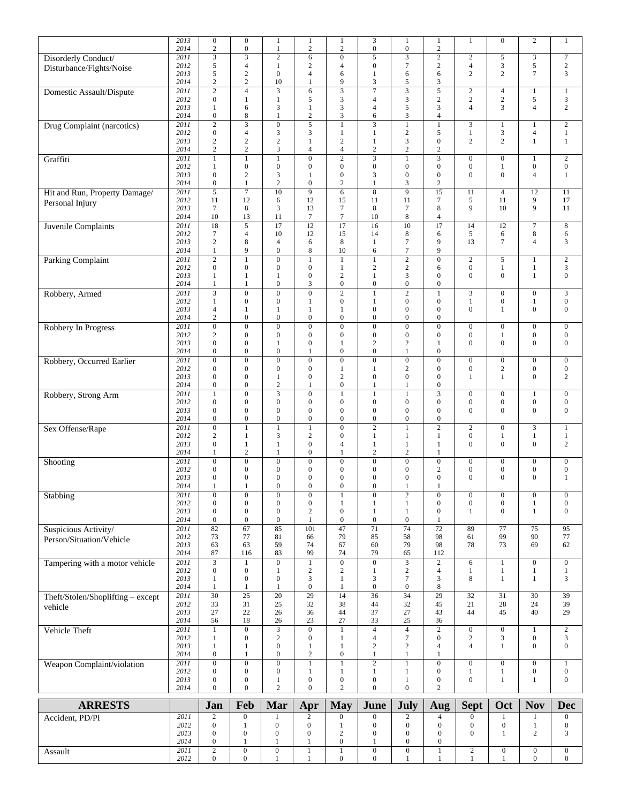|                                   | 2013 | $\boldsymbol{0}$ | $\boldsymbol{0}$        | 1                     | $\mathbf{1}$     | $\mathbf{1}$     | 3                                | 1                           | 1                | $\mathbf{1}$                     | $\boldsymbol{0}$ | $\mathbf{2}$            | $\mathbf{1}$     |
|-----------------------------------|------|------------------|-------------------------|-----------------------|------------------|------------------|----------------------------------|-----------------------------|------------------|----------------------------------|------------------|-------------------------|------------------|
|                                   | 2014 | $\sqrt{2}$       | $\boldsymbol{0}$        | 1                     | $\sqrt{2}$       | $\sqrt{2}$       | $\boldsymbol{0}$                 | $\boldsymbol{0}$            | $\sqrt{2}$       |                                  |                  |                         |                  |
| Disorderly Conduct/               | 2011 | $\sqrt{3}$       | $\mathfrak 3$           | $\sqrt{2}$            | 6                | $\boldsymbol{0}$ | 5                                | 3                           | $\sqrt{2}$       | $\sqrt{2}$                       | 5                | 3                       | $\boldsymbol{7}$ |
|                                   | 2012 | $\sqrt{5}$       | $\overline{4}$          | 1                     | 2                | $\overline{4}$   | $\boldsymbol{0}$                 | $\tau$                      | $\sqrt{2}$       | $\overline{4}$                   | $\mathfrak{Z}$   | 5                       | $\sqrt{2}$       |
| Disturbance/Fights/Noise          | 2013 | $\sqrt{5}$       | $\sqrt{2}$              | $\mathbf{0}$          | $\overline{4}$   | 6                | 1                                | 6                           | 6                | $\mathfrak{2}$                   | $\overline{c}$   | $\tau$                  | 3                |
|                                   | 2014 | $\sqrt{2}$       | $\sqrt{2}$              | 10                    | $\mathbf{1}$     | 9                | 3                                | 5                           | 3                |                                  |                  |                         |                  |
|                                   |      |                  |                         |                       |                  | $\overline{3}$   | $\overline{7}$                   |                             | $\overline{5}$   |                                  |                  |                         |                  |
| Domestic Assault/Dispute          | 2011 | $\overline{2}$   | $\overline{4}$          | 3                     | 6                |                  |                                  | $\overline{\mathbf{3}}$     |                  | $\overline{c}$                   | $\overline{4}$   | $\mathbf{1}$            | $\,1$            |
|                                   | 2012 | $\boldsymbol{0}$ | $\mathbf{1}$            | $\mathbf{1}$          | 5                | $\mathfrak{Z}$   | 4                                | 3                           | $\mathbf{2}$     | $\overline{c}$<br>$\overline{4}$ | $\mathbf{2}$     | 5                       | 3                |
|                                   | 2013 | 1                | 6                       | 3                     | $\mathbf{1}$     | 3                | 4                                | 5                           | 3                |                                  | 3                | $\overline{\mathbf{4}}$ | $\overline{c}$   |
|                                   | 2014 | $\boldsymbol{0}$ | $\,$ 8 $\,$             | 1                     | $\sqrt{2}$       | 3                | 6                                | 3                           | $\overline{4}$   |                                  |                  |                         |                  |
| Drug Complaint (narcotics)        | 2011 | $\overline{2}$   | $\overline{\mathbf{3}}$ | $\mathbf{0}$          | $\overline{5}$   | $\mathbf{1}$     | $\overline{3}$                   | $\,1\,$                     | $\,1$            | 3                                | $\mathbf{1}$     | $\mathbf{1}$            | $\overline{c}$   |
|                                   | 2012 | $\mathbf{0}$     | $\overline{4}$          | 3                     | 3                | $\mathbf{1}$     | $\mathbf{1}$                     | $\sqrt{2}$                  | 5                | $\mathbf{1}$                     | $\mathfrak{Z}$   | 4                       | $\mathbf{1}$     |
|                                   | 2013 | $\sqrt{2}$       | $\sqrt{2}$              | $\mathbf{2}$          | $\mathbf{1}$     | $\sqrt{2}$       | $\mathbf{1}$                     | 3                           | $\boldsymbol{0}$ | $\overline{c}$                   | $\overline{c}$   | $\mathbf{1}$            | $\mathbf{1}$     |
|                                   | 2014 | $\overline{c}$   | $\sqrt{2}$              | 3                     | $\overline{4}$   | $\overline{4}$   | $\mathbf{2}$                     | $\sqrt{2}$                  | $\mathbf{2}$     |                                  |                  |                         |                  |
| Graffiti                          | 2011 | $\overline{1}$   | $\mathbf{1}$            | $\mathbf{1}$          | $\overline{0}$   | $\overline{2}$   | $\overline{\mathbf{3}}$          | $\mathbf{1}$                |                  | $\overline{0}$                   | $\boldsymbol{0}$ | $\mathbf{1}$            | $\overline{2}$   |
|                                   | 2012 | 1                | $\boldsymbol{0}$        | $\mathbf{0}$          | $\boldsymbol{0}$ | $\boldsymbol{0}$ | $\boldsymbol{0}$                 | $\boldsymbol{0}$            | $\boldsymbol{0}$ | $\boldsymbol{0}$                 | $\mathbf{1}$     | $\boldsymbol{0}$        | $\boldsymbol{0}$ |
|                                   | 2013 | $\boldsymbol{0}$ | $\overline{c}$          | 3                     | 1                | $\boldsymbol{0}$ | 3                                | $\boldsymbol{0}$            | $\boldsymbol{0}$ | $\overline{0}$                   | $\mathbf{0}$     | $\overline{4}$          | $\mathbf{1}$     |
|                                   | 2014 | $\boldsymbol{0}$ | $\mathbf{1}$            | $\boldsymbol{2}$      | $\boldsymbol{0}$ | $\overline{c}$   | $\mathbf{1}$                     | 3                           | $\boldsymbol{2}$ |                                  |                  |                         |                  |
| Hit and Run, Property Damage/     | 2011 | 5                | $\overline{7}$          | 10                    | 9                | 6                | $\bf 8$                          | 9                           | $\overline{15}$  | 11                               | $\overline{4}$   | 12                      | 11               |
| Personal Injury                   | 2012 | 11               | 12                      | 6                     | 12               | 15               | 11                               | 11                          | 7                | 5                                | 11               | 9                       | 17               |
|                                   | 2013 | $\tau$           | 8                       | 3                     | 13               | $\boldsymbol{7}$ | 8                                | $\tau$                      | 8                | 9                                | 10               | 9                       | 11               |
|                                   | 2014 | 10               | 13                      | 11                    | $\tau$           | $\boldsymbol{7}$ | 10                               | 8                           | $\overline{4}$   |                                  |                  |                         |                  |
| Juvenile Complaints               | 2011 | $\overline{18}$  | $\overline{5}$          | $\overline{17}$       | $\overline{12}$  | $\overline{17}$  | 16                               | $\overline{10}$             | 17               | 14                               | 12               | $\overline{7}$          | $\,8\,$          |
|                                   | 2012 | $\tau$           | $\overline{4}$          | 10                    | 12               | 15               | 14                               | 8                           | 6                | 5                                | 6                | 8                       | 6                |
|                                   | 2013 | $\sqrt{2}$       | $\,$ 8 $\,$             | $\overline{4}$        | 6                | 8                | 1                                | $\tau$                      | 9                | 13                               | $7\phantom{.0}$  | 4                       | 3                |
|                                   | 2014 | $\mathbf{1}$     | 9                       | $\mathbf{0}$          | 8                | 10               | 6                                | $\tau$                      | 9                |                                  |                  |                         |                  |
|                                   | 2011 | $\overline{2}$   | $\mathbf{1}$            | $\boldsymbol{0}$      | $\mathbf{1}$     | $\mathbf{1}$     | $\mathbf{1}$                     | $\overline{2}$              | $\boldsymbol{0}$ | $\mathbf{2}$                     | 5                | $\mathbf{1}$            | $\overline{2}$   |
| <b>Parking Complaint</b>          | 2012 | $\boldsymbol{0}$ | $\boldsymbol{0}$        | $\mathbf{0}$          | $\boldsymbol{0}$ | $\mathbf{1}$     | $\mathbf{2}$                     | $\sqrt{2}$                  |                  | $\boldsymbol{0}$                 | $\mathbf{1}$     | $\mathbf{1}$            | 3                |
|                                   |      |                  |                         |                       |                  | $\mathbf{2}$     |                                  |                             | 6                | $\overline{0}$                   | $\boldsymbol{0}$ |                         |                  |
|                                   | 2013 | 1                | $\mathbf{1}$            | 1<br>$\boldsymbol{0}$ | $\boldsymbol{0}$ | $\boldsymbol{0}$ | $\mathbf{1}$<br>$\boldsymbol{0}$ | 3<br>$\boldsymbol{0}$       | $\boldsymbol{0}$ |                                  |                  | $\mathbf{1}$            | $\boldsymbol{0}$ |
|                                   | 2014 | 1                | $\mathbf{1}$            |                       | 3                |                  |                                  |                             | $\boldsymbol{0}$ |                                  |                  |                         |                  |
| Robbery, Armed                    | 2011 |                  | $\boldsymbol{0}$        | $\mathbf{0}$          | $\boldsymbol{0}$ | $\overline{2}$   | $\mathbf{1}$                     | $\overline{2}$              | 1                | 3                                | $\boldsymbol{0}$ | $\boldsymbol{0}$        | 3                |
|                                   | 2012 | 1                | $\boldsymbol{0}$        | $\boldsymbol{0}$      | $\mathbf{1}$     | $\boldsymbol{0}$ | $\mathbf{1}$                     | $\boldsymbol{0}$            | $\boldsymbol{0}$ | $\mathbf{1}$                     | $\boldsymbol{0}$ | $\mathbf{1}$            | $\boldsymbol{0}$ |
|                                   | 2013 | $\overline{4}$   | $\mathbf{1}$            | 1                     | 1                | 1                | $\boldsymbol{0}$                 | $\boldsymbol{0}$            | $\boldsymbol{0}$ | $\mathbf{0}$                     | $\mathbf{1}$     | $\boldsymbol{0}$        | $\boldsymbol{0}$ |
|                                   | 2014 | 2                | $\boldsymbol{0}$        | $\boldsymbol{0}$      | $\boldsymbol{0}$ | $\boldsymbol{0}$ | $\boldsymbol{0}$                 | $\boldsymbol{0}$            | $\boldsymbol{0}$ |                                  |                  |                         |                  |
| Robbery In Progress               | 2011 | $\overline{0}$   | $\overline{0}$          | $\boldsymbol{0}$      | $\overline{0}$   | $\overline{0}$   | $\overline{0}$                   | $\overline{0}$              | $\boldsymbol{0}$ | $\mathbf{0}$                     | $\boldsymbol{0}$ | $\boldsymbol{0}$        | $\mathbf{0}$     |
|                                   | 2012 | $\sqrt{2}$       | $\boldsymbol{0}$        | $\mathbf{0}$          | $\mathbf{0}$     | $\boldsymbol{0}$ | $\overline{0}$                   | $\boldsymbol{0}$            | $\boldsymbol{0}$ | $\boldsymbol{0}$                 | 1                | $\boldsymbol{0}$        | $\boldsymbol{0}$ |
|                                   | 2013 | $\boldsymbol{0}$ | $\boldsymbol{0}$        | $\mathbf{1}$          | $\boldsymbol{0}$ | $\mathbf{1}$     | $\overline{c}$                   | $\overline{c}$              | $\mathbf{1}$     | $\mathbf{0}$                     | $\mathbf{0}$     | $\boldsymbol{0}$        | $\boldsymbol{0}$ |
|                                   | 2014 | $\mathbf{0}$     | $\boldsymbol{0}$        | $\boldsymbol{0}$      | $\mathbf{1}$     | $\boldsymbol{0}$ | $\boldsymbol{0}$                 | $\mathbf{1}$                | $\boldsymbol{0}$ |                                  |                  |                         |                  |
| Robbery, Occurred Earlier         | 2011 | $\overline{0}$   | $\overline{0}$          | $\overline{0}$        | $\overline{0}$   | $\overline{0}$   | $\overline{0}$                   | $\overline{0}$              | $\boldsymbol{0}$ | $\overline{0}$                   | $\boldsymbol{0}$ | $\overline{0}$          | $\boldsymbol{0}$ |
|                                   | 2012 | $\mathbf{0}$     | $\boldsymbol{0}$        | $\mathbf{0}$          | $\boldsymbol{0}$ | $\mathbf{1}$     | $\mathbf{1}$                     | $\sqrt{2}$                  | $\boldsymbol{0}$ | $\overline{0}$                   | $\sqrt{2}$       | $\boldsymbol{0}$        | $\boldsymbol{0}$ |
|                                   | 2013 | $\mathbf{0}$     | $\boldsymbol{0}$        | $\mathbf{1}$          | $\boldsymbol{0}$ | $\mathbf{2}$     | $\boldsymbol{0}$                 | $\boldsymbol{0}$            | $\boldsymbol{0}$ | 1                                | $\mathbf{1}$     | $\boldsymbol{0}$        | $\boldsymbol{2}$ |
|                                   | 2014 | $\boldsymbol{0}$ | $\boldsymbol{0}$        | $\sqrt{2}$            | 1                | $\boldsymbol{0}$ | $\mathbf{1}$                     | 1                           | $\boldsymbol{0}$ |                                  |                  |                         |                  |
| Robbery, Strong Arm               | 2011 | $\mathbf{1}$     | $\overline{0}$          | $\overline{3}$        | $\overline{0}$   | $\mathbf{1}$     | $\mathbf{1}$                     | $\mathbf{1}$                | $\overline{3}$   | $\overline{0}$                   | $\boldsymbol{0}$ | 1                       | $\boldsymbol{0}$ |
|                                   | 2012 | $\mathbf{0}$     | $\boldsymbol{0}$        | $\boldsymbol{0}$      | $\boldsymbol{0}$ | $\boldsymbol{0}$ | $\mathbf{0}$                     | $\boldsymbol{0}$            | $\boldsymbol{0}$ | $\boldsymbol{0}$                 | $\boldsymbol{0}$ | $\boldsymbol{0}$        | $\mathbf{0}$     |
|                                   | 2013 | $\boldsymbol{0}$ | $\boldsymbol{0}$        | $\boldsymbol{0}$      | $\boldsymbol{0}$ | $\boldsymbol{0}$ | $\overline{0}$                   | $\boldsymbol{0}$            | $\boldsymbol{0}$ | $\overline{0}$                   | $\mathbf{0}$     | $\boldsymbol{0}$        | $\boldsymbol{0}$ |
|                                   | 2014 | $\boldsymbol{0}$ | $\boldsymbol{0}$        | $\boldsymbol{0}$      | $\boldsymbol{0}$ | $\boldsymbol{0}$ | $\boldsymbol{0}$                 | $\boldsymbol{0}$            | $\boldsymbol{0}$ |                                  |                  |                         |                  |
| Sex Offense/Rape                  | 2011 | $\overline{0}$   | $\mathbf{1}$            | $\mathbf{1}$          | $\mathbf{1}$     | $\overline{0}$   | $\overline{2}$                   | $\mathbf{1}$                | $\overline{2}$   | $\overline{c}$                   | $\boldsymbol{0}$ | 3                       | 1                |
|                                   | 2012 | $\overline{c}$   | $\mathbf{1}$            | 3                     | $\overline{c}$   | $\boldsymbol{0}$ | $\mathbf{1}$                     | $\mathbf{1}$                | $\mathbf{1}$     | $\boldsymbol{0}$                 | $\mathbf{1}$     | $\mathbf{1}$            | $\mathbf{1}$     |
|                                   | 2013 | $\mathbf{0}$     | $\mathbf{1}$            | $\mathbf{1}$          | $\mathbf{0}$     | $\overline{4}$   | 1                                | $\mathbf{1}$                | $\mathbf{1}$     | $\mathbf{0}$                     | $\mathbf{0}$     | $\overline{0}$          | $\boldsymbol{2}$ |
|                                   | 2014 | 1                | $\sqrt{2}$              | 1                     | $\boldsymbol{0}$ | $\mathbf{1}$     | $\mathbf{2}$                     | $\sqrt{2}$                  | 1                |                                  |                  |                         |                  |
|                                   |      |                  |                         |                       |                  |                  |                                  |                             |                  |                                  |                  |                         |                  |
| Shooting                          | 2011 | $\overline{0}$   | $\boldsymbol{0}$        | $\boldsymbol{0}$      | $\boldsymbol{0}$ | $\boldsymbol{0}$ | $\boldsymbol{0}$                 | $\boldsymbol{0}$            | $\boldsymbol{0}$ | $\mathbf{0}$                     | $\boldsymbol{0}$ | $\boldsymbol{0}$        | $\boldsymbol{0}$ |
|                                   | 2012 | $\boldsymbol{0}$ | $\boldsymbol{0}$        | $\mathbf{0}$          | $\mathbf{0}$     | $\boldsymbol{0}$ | $\boldsymbol{0}$                 | $\boldsymbol{0}$            | $\mathfrak{2}$   | $\boldsymbol{0}$                 | $\boldsymbol{0}$ | $\boldsymbol{0}$        | $\boldsymbol{0}$ |
|                                   | 2013 | $\boldsymbol{0}$ | $\boldsymbol{0}$        | $\boldsymbol{0}$      | $\boldsymbol{0}$ | $\boldsymbol{0}$ | $\overline{0}$                   | $\boldsymbol{0}$<br>1       | $\boldsymbol{0}$ | $\overline{0}$                   | $\mathbf{0}$     | $\overline{0}$          | $\mathbf{1}$     |
|                                   | 2014 | 1                | 1                       | $\mathbf{0}$          | $\mathbf{0}$     | $\Omega$         | $\Omega$                         |                             |                  |                                  |                  |                         |                  |
| Stabbing                          | 2011 | $\boldsymbol{0}$ | $\boldsymbol{0}$        | $\mathbf{0}$          | $\boldsymbol{0}$ | 1                | $\boldsymbol{0}$                 | $\boldsymbol{2}$            | $\boldsymbol{0}$ | $\mathbf{0}$                     | $\boldsymbol{0}$ | $\boldsymbol{0}$        | $\boldsymbol{0}$ |
|                                   | 2012 | $\boldsymbol{0}$ | $\boldsymbol{0}$        | $\boldsymbol{0}$      | $\boldsymbol{0}$ | $\mathbf{1}$     | $\mathbf{1}$                     | $\mathbf{1}$                | $\boldsymbol{0}$ | $\boldsymbol{0}$                 | $\boldsymbol{0}$ | $\mathbf{1}$            | $\boldsymbol{0}$ |
|                                   | 2013 | $\mathbf{0}$     | $\boldsymbol{0}$        | $\mathbf{0}$          | $\sqrt{2}$       | $\mathbf{0}$     | $\mathbf{1}$                     | $\mathbf{1}$                | $\mathbf{0}$     | 1                                | $\Omega$         | 1                       | $\boldsymbol{0}$ |
|                                   | 2014 | $\boldsymbol{0}$ | $\boldsymbol{0}$        | $\mathbf{0}$          | $\mathbf{1}$     | $\boldsymbol{0}$ | $\boldsymbol{0}$                 | $\boldsymbol{0}$            | $\mathbf{1}$     |                                  |                  |                         |                  |
| Suspicious Activity/              | 2011 | 82               | 67                      | 85                    | 101              | 47               | 71                               | 74                          | $\overline{72}$  | 89                               | 77               | 75                      | $\overline{95}$  |
| Person/Situation/Vehicle          | 2012 | 73               | 77                      | 81                    | 66               | 79               | 85                               | 58                          | 98               | 61                               | 99               | 90                      | 77               |
|                                   | 2013 | 63               | 63                      | 59                    | 74               | 67               | 60                               | 79                          | 98               | 78                               | 73               | 69                      | 62               |
|                                   | 2014 | 87               | 116                     | 83                    | 99               | 74               | 79                               | 65                          | 112              |                                  |                  |                         |                  |
| Tampering with a motor vehicle    | 2011 | $\overline{3}$   | $\mathbf{1}$            | $\boldsymbol{0}$      | $\mathbf{1}$     | $\boldsymbol{0}$ | $\overline{0}$                   | $\ensuremath{\mathfrak{Z}}$ | $\overline{c}$   | 6                                | $\mathbf{1}$     | $\overline{0}$          | $\boldsymbol{0}$ |
|                                   | 2012 | $\boldsymbol{0}$ | $\boldsymbol{0}$        | 1                     | $\overline{c}$   | $\sqrt{2}$       | 1                                | $\sqrt{2}$                  | $\overline{4}$   | 1                                | $\mathbf{1}$     | $\mathbf{1}$            | $\mathbf{1}$     |
|                                   | 2013 | 1                | $\boldsymbol{0}$        | $\mathbf{0}$          | 3                | $\mathbf{1}$     | 3                                | $\tau$                      | 3                | 8                                | $\mathbf{1}$     | $\mathbf{1}$            | 3                |
|                                   | 2014 | 1                | $\,1$                   | $\mathbf{1}$          | $\overline{0}$   | $\mathbf{1}$     | $\overline{0}$                   | $\boldsymbol{0}$            | 8                |                                  |                  |                         |                  |
| Theft/Stolen/Shoplifting - except | 2011 | $\overline{30}$  | $\overline{25}$         | 20                    | $\overline{29}$  | 14               | $\overline{36}$                  | $\overline{34}$             | 29               | $\overline{32}$                  | $\overline{31}$  | $\overline{30}$         | $\overline{39}$  |
| vehicle                           | 2012 | 33               | 31                      | 25                    | 32               | 38               | 44                               | 32                          | 45               | 21                               | 28               | 24                      | 39               |
|                                   | 2013 | 27               | $22\,$                  | 26                    | 36               | 44               | 37                               | 27                          | 43               | 44                               | 45               | 40                      | 29               |
|                                   | 2014 | 56               | 18                      | 26                    | 23               | 27               | 33                               | $25\,$                      | 36               |                                  |                  |                         |                  |
| Vehicle Theft                     | 2011 | $\mathbf{1}$     | $\boldsymbol{0}$        | $\mathfrak{Z}$        | $\overline{0}$   | $1\,$            | $\overline{4}$                   | $\overline{4}$              | $\sqrt{2}$       | $\boldsymbol{0}$                 | $\boldsymbol{0}$ | $\mathbf{1}$            | $\overline{c}$   |
|                                   | 2012 | 1                | $\boldsymbol{0}$        | 2                     | $\boldsymbol{0}$ | 1                | $\overline{4}$                   | $\overline{7}$              | $\boldsymbol{0}$ | $\overline{c}$                   | $\mathfrak{Z}$   | $\boldsymbol{0}$        | 3                |
|                                   | 2013 | 1                | $\mathbf{1}$            | $\boldsymbol{0}$      | $\mathbf{1}$     | $\mathbf{1}$     | $\mathbf{2}$                     | $\sqrt{2}$                  | $\overline{4}$   | $\overline{4}$                   | $\mathbf{1}$     | $\boldsymbol{0}$        | $\overline{0}$   |
|                                   | 2014 | $\boldsymbol{0}$ | $\mathbf{1}$            | $\mathbf{0}$          | $\sqrt{2}$       | $\boldsymbol{0}$ | $\mathbf{1}$                     | $\mathbf{1}$                | 1                |                                  |                  |                         |                  |
| Weapon Complaint/violation        | 2011 | $\overline{0}$   | $\overline{0}$          | $\overline{0}$        | $\mathbf{1}$     | $\overline{1}$   | $\overline{2}$                   | $\mathbf{1}$                | $\boldsymbol{0}$ | $\overline{0}$                   | $\overline{0}$   | $\overline{0}$          | $\overline{1}$   |
|                                   | 2012 | $\mathbf{0}$     | $\boldsymbol{0}$        | $\mathbf{0}$          | $\mathbf{1}$     | $\mathbf{1}$     | $\mathbf{1}$                     | $\mathbf{1}$                | $\boldsymbol{0}$ | $\mathbf{1}$                     | $\mathbf{1}$     | $\boldsymbol{0}$        | $\boldsymbol{0}$ |
|                                   | 2013 | $\mathbf{0}$     | $\boldsymbol{0}$        | $\mathbf{1}$          | $\boldsymbol{0}$ | $\boldsymbol{0}$ | $\boldsymbol{0}$                 | $\mathbf{1}$                | $\boldsymbol{0}$ | $\overline{0}$                   | $\mathbf{1}$     | 1                       | $\boldsymbol{0}$ |
|                                   | 2014 | $\mathbf{0}$     | $\boldsymbol{0}$        | $\overline{c}$        | $\overline{0}$   | $\mathbf{2}$     | $\boldsymbol{0}$                 | $\boldsymbol{0}$            | 2                |                                  |                  |                         |                  |
|                                   |      |                  |                         |                       |                  |                  |                                  |                             |                  |                                  |                  |                         |                  |
| <b>ARRESTS</b>                    |      | Jan              | Feb                     | Mar                   | Apr              | <b>May</b>       | June                             | July                        | Aug              | <b>Sept</b>                      | Oct              | <b>Nov</b>              | <b>Dec</b>       |
|                                   |      |                  |                         |                       |                  |                  |                                  |                             |                  |                                  |                  |                         |                  |
| Accident, PD/PI                   | 2011 | $\sqrt{2}$       | $\boldsymbol{0}$        | 1                     | 2                | $\boldsymbol{0}$ | $\boldsymbol{0}$                 | $\overline{c}$              | 4                | $\mathbf{0}$                     | 1                | 1                       | $\boldsymbol{0}$ |
|                                   | 2012 | $\boldsymbol{0}$ | 1                       | $\boldsymbol{0}$      | $\boldsymbol{0}$ | $\mathbf{1}$     | $\boldsymbol{0}$                 | $\boldsymbol{0}$            | $\boldsymbol{0}$ | $\boldsymbol{0}$                 | $\boldsymbol{0}$ | $\mathbf{1}$            | $\boldsymbol{0}$ |
|                                   | 2013 | $\boldsymbol{0}$ | $\overline{0}$          | $\boldsymbol{0}$      | $\boldsymbol{0}$ | $\sqrt{2}$       | $\boldsymbol{0}$                 | $\boldsymbol{0}$            | $\boldsymbol{0}$ | $\mathbf{0}$                     | $\mathbf{1}$     | $\overline{c}$          | 3                |
|                                   | 2014 | $\boldsymbol{0}$ | 1                       | 1                     | 1                | $\boldsymbol{0}$ | $\mathbf{1}$                     | $\boldsymbol{0}$            | $\boldsymbol{0}$ |                                  |                  |                         |                  |
| Assault                           | 2011 | $\overline{c}$   | $\boldsymbol{0}$        | $\boldsymbol{0}$      | $\mathbf{1}$     | $\,1$            | $\boldsymbol{0}$                 | $\boldsymbol{0}$            | $\mathbf{1}$     | $\sqrt{2}$                       | $\boldsymbol{0}$ | $\boldsymbol{0}$        | $\boldsymbol{0}$ |
|                                   | 2012 | $\boldsymbol{0}$ | $\boldsymbol{0}$        | $\mathbf{1}$          | $\mathbf{1}$     | $\boldsymbol{0}$ | $\boldsymbol{0}$                 | $\mathbf{1}$                | $\mathbf{1}$     | $\mathbf{1}$                     | $\mathbf{1}$     | $\boldsymbol{0}$        | $\boldsymbol{0}$ |